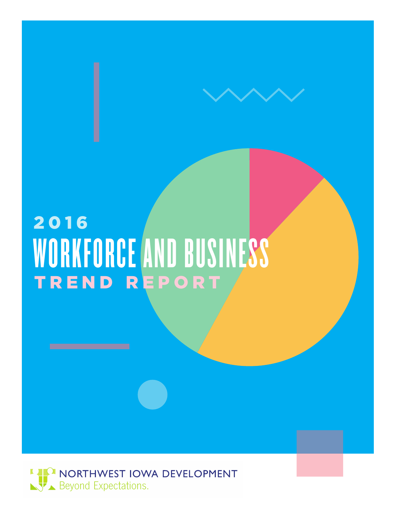# TREND REPORT 2016 WORKFORCE AND BUSINESS

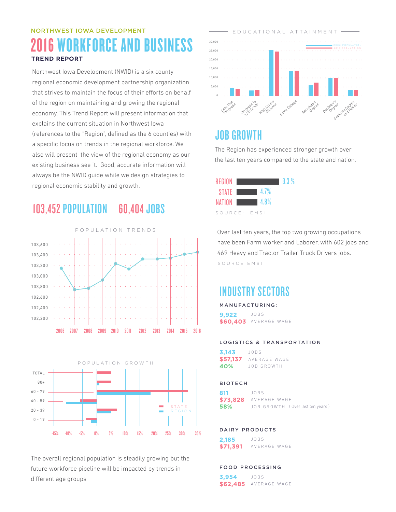## NORTHWEST IOWA DEVELOPMENT 2016 WORKFORCE AND BUSINESS **TREND REPORT**

Northwest Iowa Development (NWID) is a six county regional economic development partnership organization that strives to maintain the focus of their efforts on behalf of the region on maintaining and growing the regional economy. This Trend Report will present information that explains the current situation in Northwest Iowa (references to the "Region", defined as the 6 counties) with a specific focus on trends in the regional workforce. We also will present the view of the regional economy as our existing business see it. Good, accurate information will always be the NWID guide while we design strategies to regional economic stability and growth.

## 103,452 POPULATION 60,404 JOBS





The overall regional population is steadily growing but the future workforce pipeline will be impacted by trends in different age groups



## JOB GROWTH

The Region has experienced stronger growth over the last ten years compared to the state and nation.

| REGION I      | 18.3% |
|---------------|-------|
| STATE $4.7\%$ |       |
| NATION 4.8%   |       |
| SOURCE: EMSI  |       |

Over last ten years, the top two growing occupations have been Farm worker and Laborer, with 602 jobs and 469 Heavy and Tractor Trailer Truck Drivers jobs. SOURCE EMSI

## INDUSTRY SECTORS

#### MANUFACTURING:

**9,922 \$60,403**  AVERAGE WAGE JOBS

#### LOGISTICS & TRANSPORTATION

**3,143 \$57,137** AVERAGE WAGE **40%** JOBS JOB GROWTH

#### BIOTECH

**811 \$73,828 58%**  JOBS AVERAGE WAGE JOB GROWTH ( Over last ten years )

#### DAIRY PRODUCTS

**2,185 \$71,391** JOBS AVERAGE WAGE

#### FOOD PROCESSING

**3,954 \$62,485** AVERAGE WAGE JOBS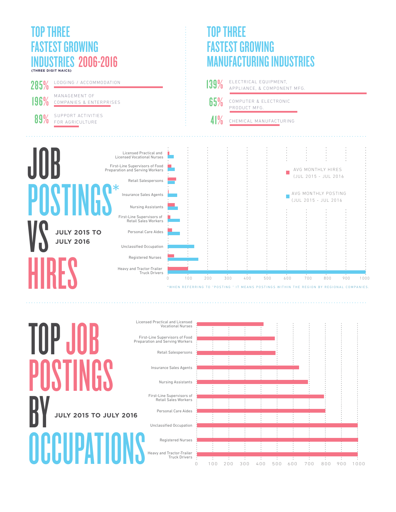### TOP THREE FASTEST GROWING DUSTRIES 2006-2016 **(THREE DIGIT NAICS)**

# TOP THREE **STEST GROWING CTURING INDUSTRIES**

![](_page_2_Figure_3.jpeg)

![](_page_2_Figure_4.jpeg)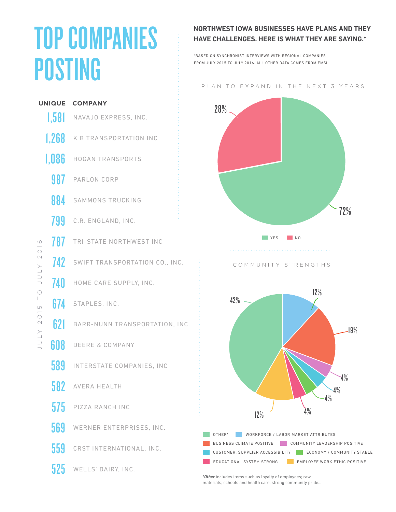# TOP COMPANIES POSTING

### **NORTHWEST IOWA BUSINESSES HAVE PLANS AND THEY HAVE CHALLENGES. HERE IS WHAT THEY ARE SAYING.\***

\*BASED ON SYNCHRONIST INTERVIEWS WITH REGIONAL COMPANIES FROM JULY 2015 TO JULY 2016 ALL OTHER DATA COMES FROM EMSI

#### PLAN TO EXPAND IN THE NEXT 3 YEARS

![](_page_3_Figure_4.jpeg)

*\*Other* includes items such as loyalty of employees; raw materials; schools and health care; strong community pride...

 $\circ$ JULY 2015 TO JULY 2016  $201$ YTAN  $\bigcirc$  $\overline{a}$  $\overline{L}$  $\overline{\bigcirc}$  $\bigcirc$ YTNI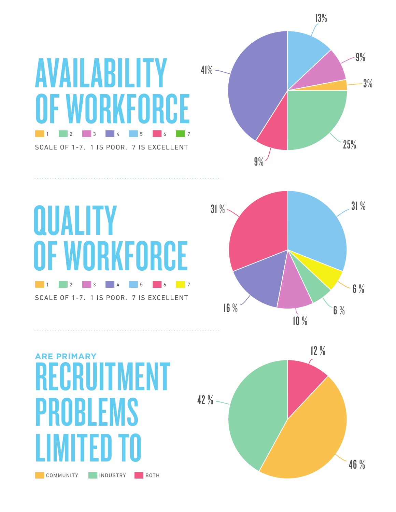# AVAILABILITY OF WORKFORCE 1 2 3 4 5 6 7

SCALE OF 1-7. 1 IS POOR. 7 IS EXCELLENT

![](_page_4_Figure_2.jpeg)

![](_page_4_Figure_3.jpeg)

COMMUNITY INDUSTRY BOTH RECRUITMENT PROBLEMS LIMITED TO **ARE PRIMARY**

![](_page_4_Figure_5.jpeg)